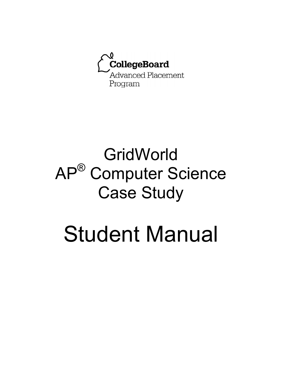

# **GridWorld** AP® Computer Science Case Study

# Student Manual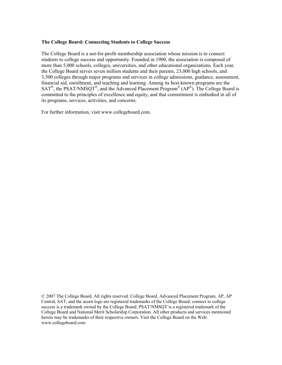#### **The College Board: Connecting Students to College Success**

The College Board is a not-for-profit membership association whose mission is to connect students to college success and opportunity. Founded in 1900, the association is composed of more than 5,000 schools, colleges, universities, and other educational organizations. Each year, the College Board serves seven million students and their parents, 23,000 high schools, and 3,500 colleges through major programs and services in college admissions, guidance, assessment, financial aid, enrollment, and teaching and learning. Among its best-known programs are the  $SAT^{\circ}$ , the PSAT/NMSQT<sup>®</sup>, and the Advanced Placement Program<sup>®</sup> (AP<sup>®</sup>). The College Board is committed to the principles of excellence and equity, and that commitment is embodied in all of its programs, services, activities, and concerns.

For further information, visit www.collegeboard.com.

<sup>© 2007</sup> The College Board. All rights reserved. College Board, Advanced Placement Program, AP, AP Central, SAT, and the acorn logo are registered trademarks of the College Board. connect to college success is a trademark owned by the College Board. PSAT/NMSQT is a registered trademark of the College Board and National Merit Scholarship Corporation. All other products and services mentioned herein may be trademarks of their respective owners. Visit the College Board on the Web: www.collegeboard.com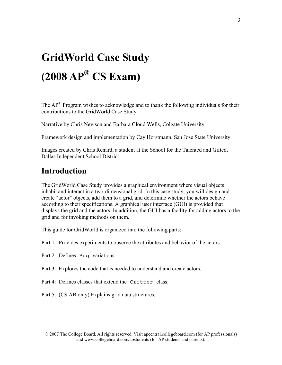## **GridWorld Case Study (2008 AP® CS Exam)**

The  $AP^{\circledR}$  Program wishes to acknowledge and to thank the following individuals for their contributions to the GridWorld Case Study.

Narrative by Chris Nevison and Barbara Cloud Wells, Colgate University

Framework design and implementation by Cay Horstmann, San Jose State University

Images created by Chris Renard, a student at the School for the Talented and Gifted, Dallas Independent School District

### **Introduction**

The GridWorld Case Study provides a graphical environment where visual objects inhabit and interact in a two-dimensional grid. In this case study, you will design and create "actor" objects, add them to a grid, and determine whether the actors behave according to their specifications. A graphical user interface (GUI) is provided that displays the grid and the actors. In addition, the GUI has a facility for adding actors to the grid and for invoking methods on them.

This guide for GridWorld is organized into the following parts:

- Part 1: Provides experiments to observe the attributes and behavior of the actors.
- Part 2: Defines Bug variations.
- Part 3: Explores the code that is needed to understand and create actors.
- Part 4: Defines classes that extend the Critter class.
- Part 5: (CS AB only) Explains grid data structures.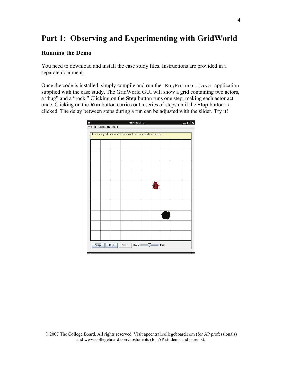### **Part 1: Observing and Experimenting with GridWorld**

#### **Running the Demo**

You need to download and install the case study files. Instructions are provided in a separate document.

Once the code is installed, simply compile and run the BugRunner.java application supplied with the case study. The GridWorld GUI will show a grid containing two actors, a "bug" and a "rock." Clicking on the **Step** button runs one step, making each actor act once. Clicking on the **Run** button carries out a series of steps until the **Stop** button is clicked. The delay between steps during a run can be adjusted with the slider. Try it!

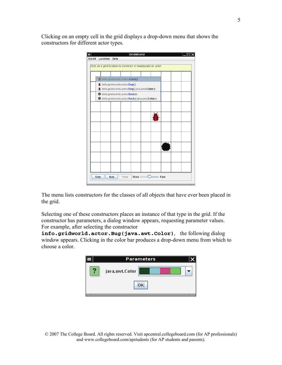Clicking on an empty cell in the grid displays a drop-down menu that shows the constructors for different actor types.



The menu lists constructors for the classes of all objects that have ever been placed in the grid.

Selecting one of these constructors places an instance of that type in the grid. If the constructor has parameters, a dialog window appears, requesting parameter values. For example, after selecting the constructor

**info.gridworld.actor.Bug(java.awt.Color)**, the following dialog window appears. Clicking in the color bar produces a drop-down menu from which to choose a color.

|    | <b>Parameters</b> |  |  |  |
|----|-------------------|--|--|--|
|    | java.awt.Color    |  |  |  |
| OК |                   |  |  |  |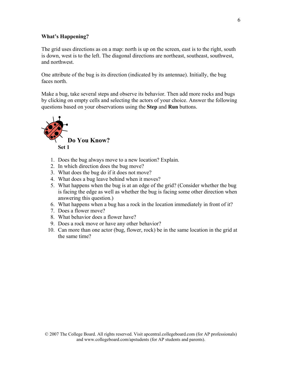#### **What's Happening?**

The grid uses directions as on a map: north is up on the screen, east is to the right, south is down, west is to the left. The diagonal directions are northeast, southeast, southwest, and northwest.

One attribute of the bug is its direction (indicated by its antennae). Initially, the bug faces north.

Make a bug, take several steps and observe its behavior. Then add more rocks and bugs by clicking on empty cells and selecting the actors of your choice. Answer the following questions based on your observations using the **Step** and **Run** buttons.



- 1. Does the bug always move to a new location? Explain.
- 2. In which direction does the bug move?
- 3. What does the bug do if it does not move?
- 4. What does a bug leave behind when it moves?
- 5. What happens when the bug is at an edge of the grid? (Consider whether the bug is facing the edge as well as whether the bug is facing some other direction when answering this question.)
- 6. What happens when a bug has a rock in the location immediately in front of it?
- 7. Does a flower move?
- 8. What behavior does a flower have?
- 9. Does a rock move or have any other behavior?
- 10. Can more than one actor (bug, flower, rock) be in the same location in the grid at the same time?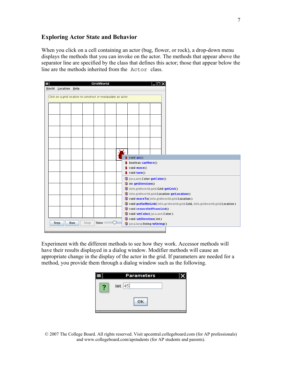### **Exploring Actor State and Behavior**

When you click on a cell containing an actor (bug, flower, or rock), a drop-down menu displays the methods that you can invoke on the actor. The methods that appear above the separator line are specified by the class that defines this actor; those that appear below the line are the methods inherited from the Actor class.



Experiment with the different methods to see how they work. Accessor methods will have their results displayed in a dialog window. Modifier methods will cause an appropriate change in the display of the actor in the grid. If parameters are needed for a method, you provide them through a dialog window such as the following.

|   | <b>Parameters</b> |  |
|---|-------------------|--|
| 2 | int $ 45 $        |  |
|   | OK                |  |

© 2007 The College Board. All rights reserved. Visit apcentral.collegeboard.com (for AP professionals) and www.collegeboard.com/apstudents (for AP students and parents).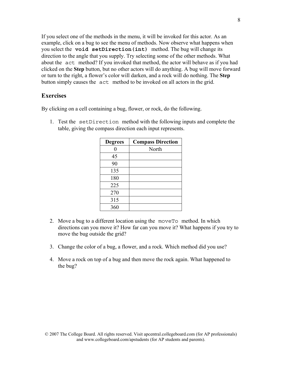If you select one of the methods in the menu, it will be invoked for this actor. As an example, click on a bug to see the menu of methods. Now observe what happens when you select the **void setDirection(int)** method. The bug will change its direction to the angle that you supply. Try selecting some of the other methods. What about the act method? If you invoked that method, the actor will behave as if you had clicked on the **Step** button, but no other actors will do anything. A bug will move forward or turn to the right, a flower's color will darken, and a rock will do nothing. The **Step** button simply causes the act method to be invoked on all actors in the grid.

#### **Exercises**

By clicking on a cell containing a bug, flower, or rock, do the following.

1. Test the setDirection method with the following inputs and complete the table, giving the compass direction each input represents.

| <b>Degrees</b> | <b>Compass Direction</b> |
|----------------|--------------------------|
| 0              | North                    |
| 45             |                          |
| 90             |                          |
| 135            |                          |
| 180            |                          |
| 225            |                          |
| 270            |                          |
| 315            |                          |
| 360            |                          |

- 2. Move a bug to a different location using the moveTo method. In which directions can you move it? How far can you move it? What happens if you try to move the bug outside the grid?
- 3. Change the color of a bug, a flower, and a rock. Which method did you use?
- 4. Move a rock on top of a bug and then move the rock again. What happened to the bug?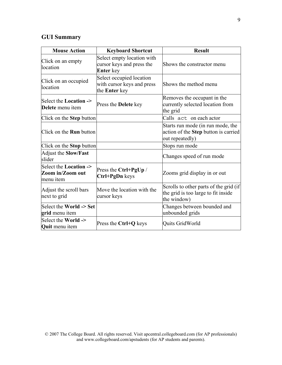### **GUI Summary**

| <b>Mouse Action</b>                                            | <b>Keyboard Shortcut</b>                                                    | <b>Result</b>                                                                                |
|----------------------------------------------------------------|-----------------------------------------------------------------------------|----------------------------------------------------------------------------------------------|
| Click on an empty<br>location                                  | Select empty location with<br>cursor keys and press the<br><b>Enter</b> key | Shows the constructor menu                                                                   |
| Click on an occupied<br>location                               | Select occupied location<br>with cursor keys and press<br>the Enter key     | Shows the method menu                                                                        |
| Select the <b>Location</b> -><br>Delete menu item              | Press the <b>Delete</b> key                                                 | Removes the occupant in the<br>currently selected location from<br>the grid                  |
| Click on the <b>Step</b> button                                |                                                                             | Calls act on each actor                                                                      |
| Click on the <b>Run</b> button                                 |                                                                             | Starts run mode (in run mode, the<br>action of the Step button is carried<br>out repeatedly) |
| Click on the <b>Stop</b> button                                |                                                                             | Stops run mode                                                                               |
| <b>Adjust the Slow/Fast</b><br>slider                          |                                                                             | Changes speed of run mode                                                                    |
| Select the <b>Location</b> -><br>Zoom in/Zoom out<br>menu item | Press the Ctrl+PgUp /<br>Ctrl+PgDn keys                                     | Zooms grid display in or out                                                                 |
| Adjust the scroll bars<br>next to grid                         | Move the location with the<br>cursor keys                                   | Scrolls to other parts of the grid (if<br>the grid is too large to fit inside<br>the window) |
| Select the World -> Set<br>grid menu item                      |                                                                             | Changes between bounded and<br>unbounded grids                                               |
| Select the World -><br><b>Quit</b> menu item                   | Press the Ctrl+Q keys                                                       | Quits GridWorld                                                                              |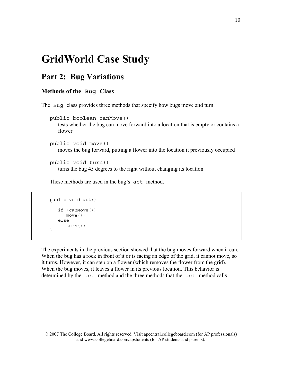### **GridWorld Case Study**

### **Part 2: Bug Variations**

### **Methods of the Bug Class**

The Bug class provides three methods that specify how bugs move and turn.

```
 public boolean canMove()
```
tests whether the bug can move forward into a location that is empty or contains a flower

```
 public void move()
```
moves the bug forward, putting a flower into the location it previously occupied

```
 public void turn()
```
turns the bug 45 degrees to the right without changing its location

These methods are used in the bug's act method.

```
 public void act() 
\{ if (canMove()) 
           move(); 
       else 
           turn(); 
    }
```
The experiments in the previous section showed that the bug moves forward when it can. When the bug has a rock in front of it or is facing an edge of the grid, it cannot move, so it turns. However, it can step on a flower (which removes the flower from the grid). When the bug moves, it leaves a flower in its previous location. This behavior is determined by the act method and the three methods that the act method calls.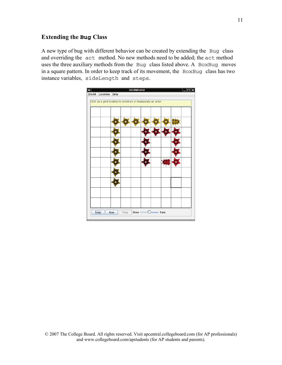### **Extending the Bug Class**

A new type of bug with different behavior can be created by extending the Bug class and overriding the act method. No new methods need to be added; the act method uses the three auxiliary methods from the Bug class listed above. A BoxBug moves in a square pattern. In order to keep track of its movement, the BoxBug class has two instance variables, sideLength and steps.

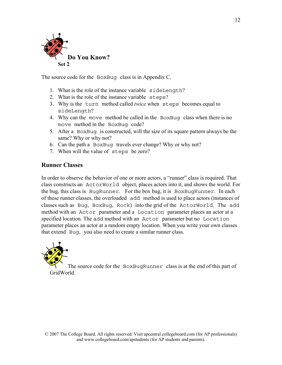

The source code for the BoxBug class is in Appendix C.

- 1. What is the role of the instance variable sideLength?
- 2. What is the role of the instance variable steps?
- 3. Why is the turn method called *twice* when steps becomes equal to sideLength?
- 4. Why can the move method be called in the BoxBug class when there is no move method in the BoxBug code?
- 5. After a BoxBug is constructed, will the size of its square pattern always be the same? Why or why not?
- 6. Can the path a BoxBug travels ever change? Why or why not?
- 7. When will the value of steps be zero?

### **Runner Classes**

In order to observe the behavior of one or more actors, a "runner" class is required. That class constructs an ActorWorld object, places actors into it, and shows the world. For the bug, this class is BugRunner. For the box bug, it is BoxBugRunner. In each of these runner classes, the overloaded add method is used to place actors (instances of classes such as Bug, BoxBug, Rock) into the grid of the ActorWorld. The add method with an Actor parameter and a Location parameter places an actor at a specified location. The add method with an Actor parameter but no Location parameter places an actor at a random empty location. When you write your own classes that extend Bug, you also need to create a similar runner class.



The source code for the BoxBugRunner class is at the end of this part of GridWorld.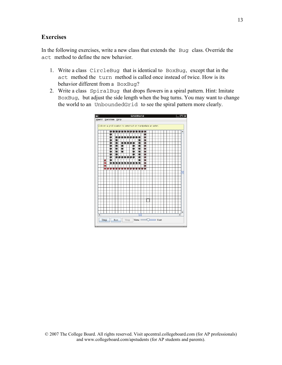### **Exercises**

In the following exercises, write a new class that extends the Bug class. Override the act method to define the new behavior.

- 1. Write a class CircleBug that is identical to BoxBug, except that in the act method the turn method is called once instead of twice. How is its behavior different from a BoxBug?
- 2. Write a class SpiralBug that drops flowers in a spiral pattern. Hint: Imitate BoxBug, but adjust the side length when the bug turns. You may want to change the world to an UnboundedGrid to see the spiral pattern more clearly.

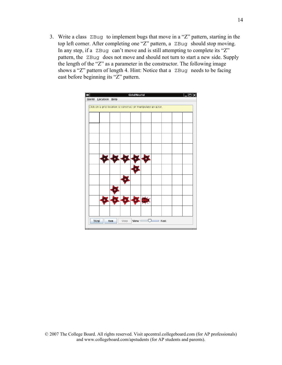3. Write a class ZBug to implement bugs that move in a "Z" pattern, starting in the top left corner. After completing one "Z" pattern, a ZBug should stop moving. In any step, if a ZBug can't move and is still attempting to complete its "Z" pattern, the ZBug does not move and should not turn to start a new side. Supply the length of the "Z" as a parameter in the constructor. The following image shows a "Z" pattern of length 4. Hint: Notice that a ZBug needs to be facing east before beginning its "Z" pattern.

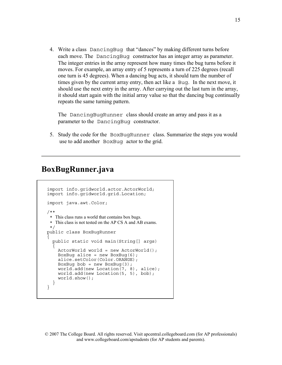4. Write a class DancingBug that "dances" by making different turns before each move. The DancingBug constructor has an integer array as parameter. The integer entries in the array represent how many times the bug turns before it moves. For example, an array entry of 5 represents a turn of 225 degrees (recall one turn is 45 degrees). When a dancing bug acts, it should turn the number of times given by the current array entry, then act like a Bug. In the next move, it should use the next entry in the array. After carrying out the last turn in the array, it should start again with the initial array value so that the dancing bug continually repeats the same turning pattern.

The DancingBugRunner class should create an array and pass it as a parameter to the DancingBug constructor.

 5. Study the code for the BoxBugRunner class. Summarize the steps you would use to add another BoxBug actor to the grid.

### **BoxBugRunner.java**

```
import info.gridworld.actor.ActorWorld; 
import info.gridworld.grid.Location; 
import java.awt.Color; 
/** 
  * This class runs a world that contains box bugs. 
  * This class is not tested on the AP CS A and AB exams.
  */ 
public class BoxBugRunner 
{ 
   public static void main(String[] args) 
 { 
    ActorWorld world = new ActorWorld();
    BoxBug alice = new BoxBug(6);
     alice.setColor(Color.ORANGE); 
    BoxBug bob = new BoxBug(3);
     world.add(new Location(7, 8), alice); 
     world.add(new Location(5, 5), bob); 
     world.show(); 
 } 
}
```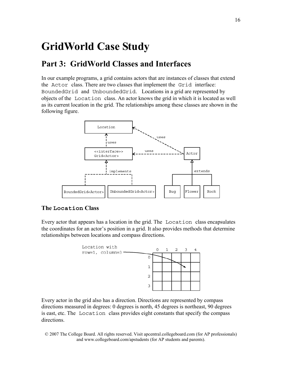### **GridWorld Case Study**

### **Part 3: GridWorld Classes and Interfaces**

In our example programs, a grid contains actors that are instances of classes that extend the Actor class. There are two classes that implement the Grid interface: BoundedGrid and UnboundedGrid. Locations in a grid are represented by objects of the Location class. An actor knows the grid in which it is located as well as its current location in the grid. The relationships among these classes are shown in the following figure.



### **The Location Class**

Every actor that appears has a location in the grid. The Location class encapsulates the coordinates for an actor's position in a grid. It also provides methods that determine relationships between locations and compass directions.



Every actor in the grid also has a direction. Directions are represented by compass directions measured in degrees: 0 degrees is north, 45 degrees is northeast, 90 degrees is east, etc. The Location class provides eight constants that specify the compass directions.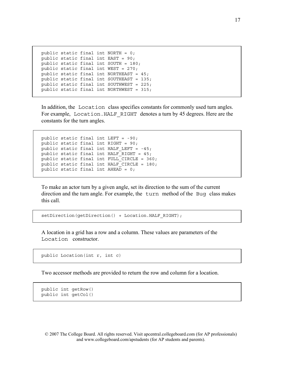```
public static final int NORTH = 0;
public static final int EAST = 90; 
public static final int SOUTH = 180; 
public static final int WEST = 270; 
public static final int NORTHEAST = 45; 
public static final int SOUTHEAST = 135; 
public static final int SOUTHWEST = 225; 
public static final int NORTHWEST = 315;
```
In addition, the Location class specifies constants for commonly used turn angles. For example, Location. HALF RIGHT denotes a turn by 45 degrees. Here are the constants for the turn angles.

```
public static final int LEFT = -90; 
public static final int RIGHT = 90; 
public static final int HALF LEFT = -45;
public static final int HALF RIGHT = 45;public static final int FULL CIRCLE = 360;public static final int HALF CIRCLE = 180;
public static final int AHEAD = 0;
```
To make an actor turn by a given angle, set its direction to the sum of the current direction and the turn angle. For example, the turn method of the Bug class makes this call.

setDirection(getDirection() + Location.HALF RIGHT);

A location in a grid has a row and a column. These values are parameters of the Location constructor.

public Location(int r, int c)

Two accessor methods are provided to return the row and column for a location.

```
public int getRow() 
public int getCol()
```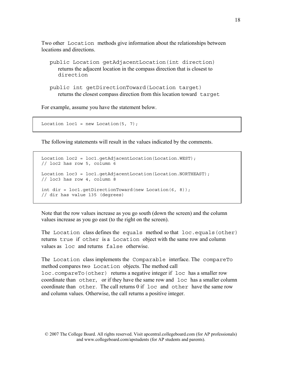Two other Location methods give information about the relationships between locations and directions.

 public Location getAdjacentLocation(int direction) returns the adjacent location in the compass direction that is closest to direction

 public int getDirectionToward(Location target) returns the closest compass direction from this location toward target

For example, assume you have the statement below.

```
Location loc1 = new Location(5, 7);
```
The following statements will result in the values indicated by the comments.

```
Location loc2 = loc1.qetAdjacentLocation(Location.WEST);
// loc2 has row 5, column 6 
Location loc3 = loc1.getAdjacentLocation(Location.NORTHEAST);
// loc3 has row 4, column 8 
int dir = loc1.getDirectionToward(new Location(6, 8)); 
// dir has value 135 (degrees)
```
Note that the row values increase as you go south (down the screen) and the column values increase as you go east (to the right on the screen).

The Location class defines the equals method so that loc.equals(other) returns true if other is a Location object with the same row and column values as loc and returns false otherwise.

The Location class implements the Comparable interface. The compareTo method compares two Location objects. The method call loc.compareTo(other) returns a negative integer if loc has a smaller row coordinate than other, or if they have the same row and loc has a smaller column coordinate than other. The call returns 0 if loc and other have the same row and column values. Otherwise, the call returns a positive integer.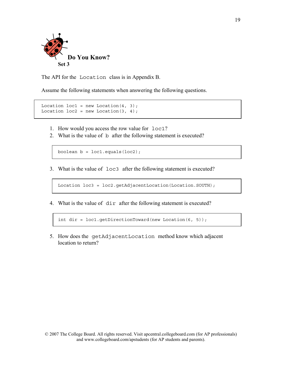

The API for the Location class is in Appendix B.

Assume the following statements when answering the following questions.

```
Location loc1 = new Location(4, 3);Location loc2 = new Location(3, 4);
```
- 1. How would you access the row value for loc1?
- 2. What is the value of b after the following statement is executed?

boolean  $b = loc1.equals(loc2);$ 

3. What is the value of loc3 after the following statement is executed?

Location loc3 = loc2.getAdjacentLocation(Location.SOUTH);

4. What is the value of dir after the following statement is executed?

int dir = loc1.getDirectionToward(new Location(6, 5));

5. How does the getAdjacentLocation method know which adjacent location to return?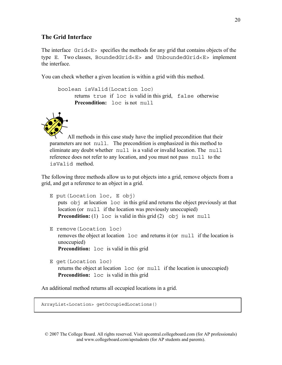### **The Grid Interface**

The interface Grid<E> specifies the methods for any grid that contains objects of the type E. Two classes, BoundedGrid<E> and UnboundedGrid<E> implement the interface.

You can check whether a given location is within a grid with this method.

```
boolean isValid(Location loc)
      returns true if loc is valid in this grid, false otherwise 
      Precondition: loc is not null
```


All methods in this case study have the implied precondition that their parameters are not null. The precondition is emphasized in this method to eliminate any doubt whether null is a valid or invalid location. The null reference does not refer to any location, and you must not pass null to the isValid method.

The following three methods allow us to put objects into a grid, remove objects from a grid, and get a reference to an object in a grid.

```
 E put(Location loc, E obj)
   puts obj at location loc in this grid and returns the object previously at that 
   location (or null if the location was previously unoccupied) 
   Precondition: (1) loc is valid in this grid (2) obj is not null
```
E remove(Location loc)

removes the object at location loc and returns it (or null if the location is unoccupied) **Precondition:**  $\log$  is valid in this grid

E get(Location loc)

```
returns the object at location loc (or null if the location is unoccupied) 
Precondition: \log is valid in this grid
```
An additional method returns all occupied locations in a grid.

ArrayList<Location> getOccupiedLocations()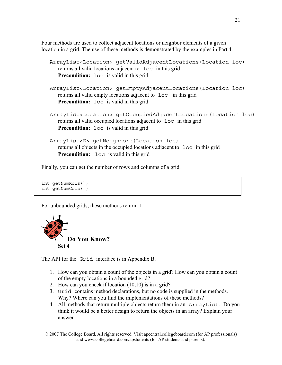Four methods are used to collect adjacent locations or neighbor elements of a given location in a grid. The use of these methods is demonstrated by the examples in Part 4.

```
 ArrayList<Location> getValidAdjacentLocations(Location loc)
   returns all valid locations adjacent to loc in this grid 
   Precondition: loc is valid in this grid
 ArrayList<Location> getEmptyAdjacentLocations(Location loc)
   returns all valid empty locations adjacent to loc in this grid 
   Precondition: \log is valid in this grid
 ArrayList<Location> getOccupiedAdjacentLocations(Location loc)
   returns all valid occupied locations adjacent to loc in this grid 
   Precondition: \log is valid in this grid
 ArrayList<E> getNeighbors(Location loc)
   returns all objects in the occupied locations adjacent to loc in this grid 
   Precondition: \log is valid in this grid
```
Finally, you can get the number of rows and columns of a grid.

int getNumRows(); int getNumCols();

For unbounded grids, these methods return -1.



The API for the Grid interface is in Appendix B.

- 1. How can you obtain a count of the objects in a grid? How can you obtain a count of the empty locations in a bounded grid?
- 2. How can you check if location (10,10) is in a grid?
- 3. Grid contains method declarations, but no code is supplied in the methods. Why? Where can you find the implementations of these methods?
- 4. All methods that return multiple objects return them in an ArrayList. Do you think it would be a better design to return the objects in an array? Explain your answer.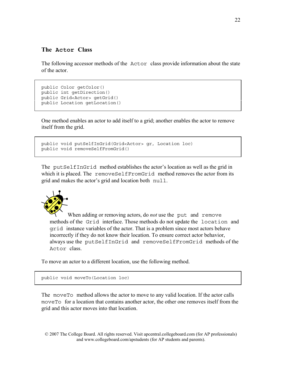### **The Actor Class**

The following accessor methods of the Actor class provide information about the state of the actor.

```
public Color getColor() 
public int getDirection() 
public Grid<Actor> getGrid() 
public Location getLocation()
```
One method enables an actor to add itself to a grid; another enables the actor to remove itself from the grid.

```
public void putSelfInGrid(Grid<Actor> gr, Location loc) 
public void removeSelfFromGrid()
```
The putSelfInGrid method establishes the actor's location as well as the grid in which it is placed. The removeSelfFromGrid method removes the actor from its grid and makes the actor's grid and location both null.



When adding or removing actors, do *not* use the put and remove methods of the Grid interface. Those methods do not update the location and grid instance variables of the actor. That is a problem since most actors behave incorrectly if they do not know their location. To ensure correct actor behavior, always use the putSelfInGrid and removeSelfFromGrid methods of the Actor class.

To move an actor to a different location, use the following method.

public void moveTo(Location loc)

The moveTo method allows the actor to move to any valid location. If the actor calls moveTo for a location that contains another actor, the other one removes itself from the grid and this actor moves into that location.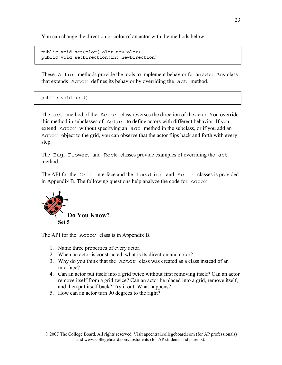You can change the direction or color of an actor with the methods below.

```
public void setColor(Color newColor) 
public void setDirection(int newDirection)
```
These Actor methods provide the tools to implement behavior for an actor. Any class that extends Actor defines its behavior by overriding the act method.

public void act()

The act method of the Actor class reverses the direction of the actor. You override this method in subclasses of Actor to define actors with different behavior. If you extend Actor without specifying an act method in the subclass, or if you add an Actor object to the grid, you can observe that the actor flips back and forth with every step.

The Bug, Flower, and Rock classes provide examples of overriding the act method.

The API for the Grid interface and the Location and Actor classes is provided in Appendix B. The following questions help analyze the code for Actor.



The API for the Actor class is in Appendix B.

- 1. Name three properties of every actor.
- 2. When an actor is constructed, what is its direction and color?
- 3. Why do you think that the Actor class was created as a class instead of an interface?
- 4. Can an actor put itself into a grid twice without first removing itself? Can an actor remove itself from a grid twice? Can an actor be placed into a grid, remove itself, and then put itself back? Try it out. What happens?
- 5. How can an actor turn 90 degrees to the right?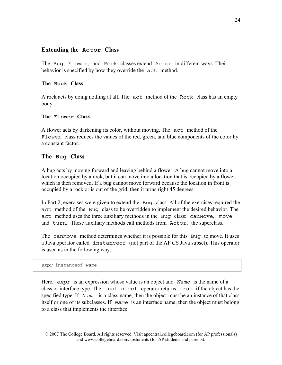### **Extending the Actor Class**

The Bug, Flower, and Rock classes extend Actor in different ways. Their behavior is specified by how they override the act method.

#### **The Rock Class**

A rock acts by doing nothing at all. The act method of the Rock class has an empty body.

#### **The Flower Class**

A flower acts by darkening its color, without moving. The act method of the Flower class reduces the values of the red, green, and blue components of the color by a constant factor.

### **The Bug Class**

A bug acts by moving forward and leaving behind a flower. A bug cannot move into a location occupied by a rock, but it can move into a location that is occupied by a flower, which is then removed. If a bug cannot move forward because the location in front is occupied by a rock or is out of the grid, then it turns right 45 degrees.

In Part 2, exercises were given to extend the Bug class. All of the exercises required the act method of the Bug class to be overridden to implement the desired behavior. The act method uses the three auxiliary methods in the Bug class: canMove, move, and turn. These auxiliary methods call methods from Actor, the superclass.

The canMove method determines whether it is possible for this Bug to move. It uses a Java operator called instanceof (not part of the AP CS Java subset). This operator is used as in the following way.

*expr* instanceof *Name*

Here, *expr* is an expression whose value is an object and *Name* is the name of a class or interface type. The instanceof operator returns true if the object has the specified type. If *Name* is a class name, then the object must be an instance of that class itself or one of its subclasses. If *Name* is an interface name, then the object must belong to a class that implements the interface.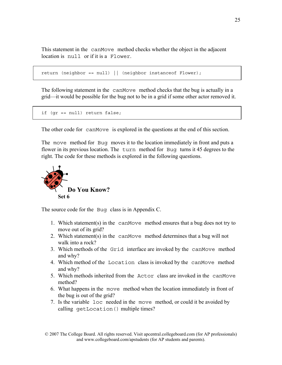This statement in the canMove method checks whether the object in the adjacent location is null or if it is a Flower.

```
return (neighbor == null) || (neighbor instanceof Flower);
```
The following statement in the canMove method checks that the bug is actually in a grid—it would be possible for the bug not to be in a grid if some other actor removed it.

```
if (gr == null) return false;
```
The other code for canMove is explored in the questions at the end of this section.

The move method for Bug moves it to the location immediately in front and puts a flower in its previous location. The turn method for Bug turns it 45 degrees to the right. The code for these methods is explored in the following questions.



The source code for the Bug class is in Appendix C.

- 1. Which statement(s) in the canMove method ensures that a bug does not try to move out of its grid?
- 2. Which statement(s) in the canMove method determines that a bug will not walk into a rock?
- 3. Which methods of the Grid interface are invoked by the canMove method and why?
- 4. Which method of the Location class is invoked by the canMove method and why?
- 5. Which methods inherited from the Actor class are invoked in the canMove method?
- 6. What happens in the move method when the location immediately in front of the bug is out of the grid?
- 7. Is the variable loc needed in the move method, or could it be avoided by calling getLocation() multiple times?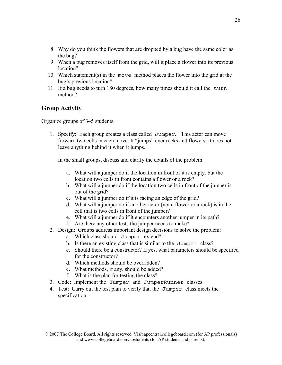- 8. Why do you think the flowers that are dropped by a bug have the same color as the bug?
- 9. When a bug removes itself from the grid, will it place a flower into its previous location?
- 10. Which statement(s) in the move method places the flower into the grid at the bug's previous location?
- 11. If a bug needs to turn 180 degrees, how many times should it call the turn method?

### **Group Activity**

Organize groups of 3–5 students.

1. Specify: Each group creates a class called Jumper. This actor can move forward two cells in each move. It "jumps" over rocks and flowers. It does not leave anything behind it when it jumps.

In the small groups, discuss and clarify the details of the problem:

- a. What will a jumper do if the location in front of it is empty, but the location two cells in front contains a flower or a rock?
- b. What will a jumper do if the location two cells in front of the jumper is out of the grid?
- c. What will a jumper do if it is facing an edge of the grid?
- d. What will a jumper do if another actor (not a flower or a rock) is in the cell that is two cells in front of the jumper?
- e. What will a jumper do if it encounters another jumper in its path?
- f. Are there any other tests the jumper needs to make?
- 2. Design: Groups address important design decisions to solve the problem:
	- a. Which class should Jumper extend?
	- b. Is there an existing class that is similar to the Jumper class?
	- c. Should there be a constructor? If yes, what parameters should be specified for the constructor?
	- d. Which methods should be overridden?
	- e. What methods, if any, should be added?
	- f. What is the plan for testing the class?
- 3. Code: Implement the Jumper and JumperRunner classes.
- 4. Test: Carry out the test plan to verify that the Jumper class meets the specification.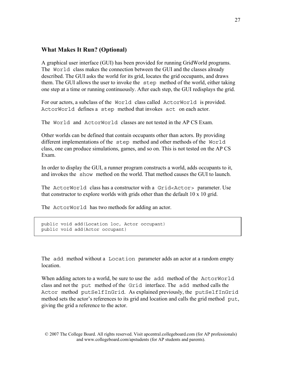### **What Makes It Run? (Optional)**

A graphical user interface (GUI) has been provided for running GridWorld programs. The World class makes the connection between the GUI and the classes already described. The GUI asks the world for its grid, locates the grid occupants, and draws them. The GUI allows the user to invoke the step method of the world, either taking one step at a time or running continuously. After each step, the GUI redisplays the grid.

For our actors, a subclass of the World class called ActorWorld is provided. ActorWorld defines a step method that invokes act on each actor.

The World and ActorWorld classes are not tested in the AP CS Exam.

Other worlds can be defined that contain occupants other than actors. By providing different implementations of the step method and other methods of the World class, one can produce simulations, games, and so on. This is not tested on the AP CS Exam.

In order to display the GUI, a runner program constructs a world, adds occupants to it, and invokes the show method on the world. That method causes the GUI to launch.

The ActorWorld class has a constructor with a Grid<Actor> parameter. Use that constructor to explore worlds with grids other than the default 10 x 10 grid.

The ActorWorld has two methods for adding an actor.

```
public void add(Location loc, Actor occupant) 
public void add(Actor occupant)
```
The add method without a Location parameter adds an actor at a random empty **location** 

When adding actors to a world, be sure to use the add method of the ActorWorld class and not the put method of the Grid interface. The add method calls the Actor method putSelfInGrid. As explained previously, the putSelfInGrid method sets the actor's references to its grid and location and calls the grid method put, giving the grid a reference to the actor.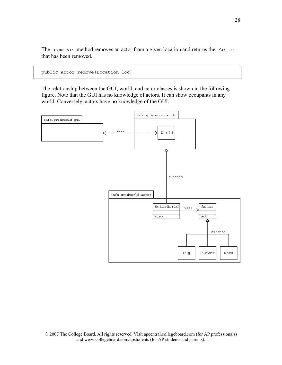The remove method removes an actor from a given location and returns the Actor that has been removed.

```
public Actor remove(Location loc)
```
The relationship between the GUI, world, and actor classes is shown in the following figure. Note that the GUI has no knowledge of actors. It can show occupants in any world. Conversely, actors have no knowledge of the GUI.

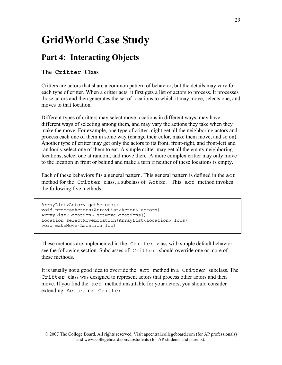### **GridWorld Case Study**

### **Part 4: Interacting Objects**

### **The Critter Class**

Critters are actors that share a common pattern of behavior, but the details may vary for each type of critter. When a critter acts, it first gets a list of actors to process. It processes those actors and then generates the set of locations to which it may move, selects one, and moves to that location.

Different types of critters may select move locations in different ways, may have different ways of selecting among them, and may vary the actions they take when they make the move. For example, one type of critter might get all the neighboring actors and process each one of them in some way (change their color, make them move, and so on). Another type of critter may get only the actors to its front, front-right, and front-left and randomly select one of them to eat. A simple critter may get all the empty neighboring locations, select one at random, and move there. A more complex critter may only move to the location in front or behind and make a turn if neither of these locations is empty.

Each of these behaviors fits a general pattern. This general pattern is defined in the act method for the Critter class, a subclass of Actor. This act method invokes the following five methods.

```
ArrayList<Actor> getActors() 
void processActors(ArrayList<Actor> actors) 
ArrayList<Location> getMoveLocations() 
Location selectMoveLocation(ArrayList<Location> locs) 
void makeMove(Location loc)
```
These methods are implemented in the Critter class with simple default behavior see the following section. Subclasses of Critter should override one or more of these methods.

It is usually not a good idea to override the act method in a Critter subclass. The Critter class was designed to represent actors that process other actors and then move. If you find the act method unsuitable for your actors, you should consider extending Actor, not Critter.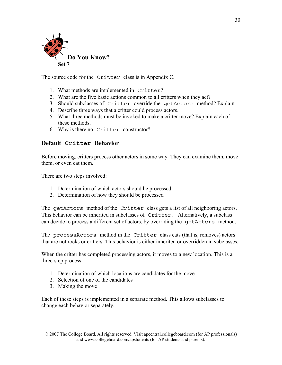

The source code for the Critter class is in Appendix C.

- 1. What methods are implemented in Critter?
- 2. What are the five basic actions common to all critters when they act?
- 3. Should subclasses of Critter override the getActors method? Explain.
- 4. Describe three ways that a critter could process actors.
- 5. What three methods must be invoked to make a critter move? Explain each of these methods.
- 6. Why is there no Critter constructor?

### **Default Critter Behavior**

Before moving, critters process other actors in some way. They can examine them, move them, or even eat them.

There are two steps involved:

- 1. Determination of which actors should be processed
- 2. Determination of how they should be processed

The getActors method of the Critter class gets a list of all neighboring actors. This behavior can be inherited in subclasses of Critter. Alternatively, a subclass can decide to process a different set of actors, by overriding the getActors method.

The processActors method in the Critter class eats (that is, removes) actors that are not rocks or critters. This behavior is either inherited or overridden in subclasses.

When the critter has completed processing actors, it moves to a new location. This is a three-step process.

- 1. Determination of which locations are candidates for the move
- 2. Selection of one of the candidates
- 3. Making the move

Each of these steps is implemented in a separate method. This allows subclasses to change each behavior separately.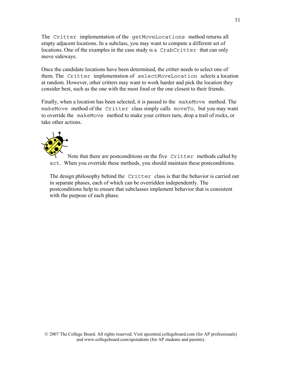The Critter implementation of the getMoveLocations method returns all empty adjacent locations. In a subclass, you may want to compute a different set of locations. One of the examples in the case study is a CrabCritter that can only move sideways.

Once the candidate locations have been determined, the critter needs to select one of them. The Critter implementation of selectMoveLocation selects a location at random. However, other critters may want to work harder and pick the location they consider best, such as the one with the most food or the one closest to their friends.

Finally, when a location has been selected, it is passed to the makeMove method. The makeMove method of the Critter class simply calls moveTo, but you may want to override the makeMove method to make your critters turn, drop a trail of rocks, or take other actions.



Note that there are postconditions on the five Critter methods called by act. When you override these methods, you should maintain these postconditions.

The design philosophy behind the Critter class is that the behavior is carried out in separate phases, each of which can be overridden independently. The postconditions help to ensure that subclasses implement behavior that is consistent with the purpose of each phase.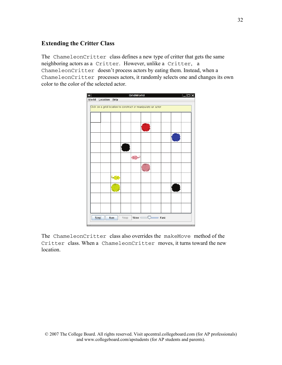### **Extending the Critter Class**

The ChameleonCritter class defines a new type of critter that gets the same neighboring actors as a Critter. However, unlike a Critter, a ChameleonCritter doesn't process actors by eating them. Instead, when a ChameleonCritter processes actors, it randomly selects one and changes its own color to the color of the selected actor.



The ChameleonCritter class also overrides the makeMove method of the Critter class. When a ChameleonCritter moves, it turns toward the new location.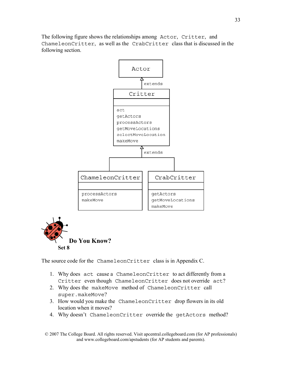The following figure shows the relationships among Actor, Critter, and ChameleonCritter, as well as the CrabCritter class that is discussed in the following section.





The source code for the ChameleonCritter class is in Appendix C.

- 1. Why does act cause a ChameleonCritter to act differently from a Critter even though ChameleonCritter does not override act?
- 2. Why does the makeMove method of ChameleonCritter call super.makeMove?
- 3. How would you make the ChameleonCritter drop flowers in its old location when it moves?
- 4. Why doesn't ChameleonCritter override the getActors method?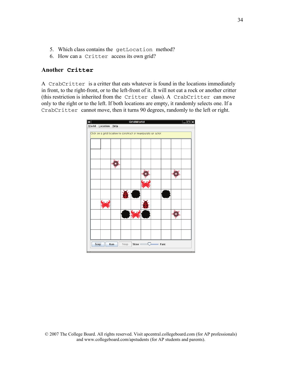- 5. Which class contains the getLocation method?
- 6. How can a Critter access its own grid?

#### **Another Critter**

A CrabCritter is a critter that eats whatever is found in the locations immediately in front, to the right-front, or to the left-front of it. It will not eat a rock or another critter (this restriction is inherited from the Critter class). A CrabCritter can move only to the right or to the left. If both locations are empty, it randomly selects one. If a CrabCritter cannot move, then it turns 90 degrees, randomly to the left or right.

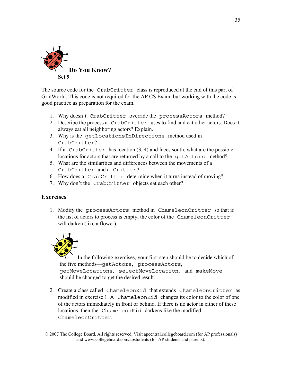

The source code for the CrabCritter class is reproduced at the end of this part of GridWorld. This code is not required for the AP CS Exam, but working with the code is good practice as preparation for the exam.

- 1. Why doesn't CrabCritter override the processActors method?
- 2. Describe the process a CrabCritter uses to find and eat other actors. Does it always eat all neighboring actors? Explain.
- 3. Why is the getLocationsInDirections method used in CrabCritter?
- 4. If a CrabCritter has location (3, 4) and faces south, what are the possible locations for actors that are returned by a call to the getActors method?
- 5. What are the similarities and differences between the movements of a CrabCritter and a Critter?
- 6. How does a CrabCritter determine when it turns instead of moving?
- 7. Why don't the CrabCritter objects eat each other?

#### **Exercises**

1. Modify the processActors method in ChameleonCritter so that if the list of actors to process is empty, the color of the ChameleonCritter will darken (like a flower).



In the following exercises, your first step should be to decide which of the five methods—getActors, processActors, getMoveLocations, selectMoveLocation, and makeMove should be changed to get the desired result.

2. Create a class called ChameleonKid that extends ChameleonCritter as modified in exercise 1. A ChameleonKid changes its color to the color of one of the actors immediately in front or behind. If there is no actor in either of these locations, then the ChameleonKid darkens like the modified ChameleonCritter.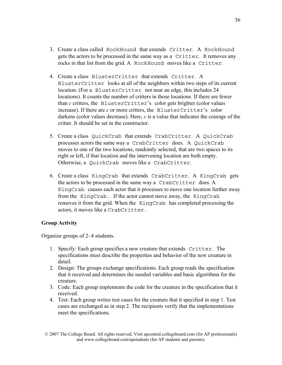- 3. Create a class called RockHound that extends Critter. A RockHound gets the actors to be processed in the same way as a Critter. It removes any rocks in that list from the grid. A RockHound moves like a Critter.
- 4. Create a class BlusterCritter that extends Critter. A BlusterCritter looks at all of the neighbors within two steps of its current location. (For a BlusterCritter not near an edge, this includes 24 locations). It counts the number of critters in those locations. If there are fewer than *c* critters, the BlusterCritter's color gets brighter (color values increase). If there are *c* or more critters, the BlusterCritter's color darkens (color values decrease). Here, *c* is a value that indicates the courage of the critter. It should be set in the constructor.
- 5. Create a class QuickCrab that extends CrabCritter. A QuickCrab processes actors the same way a CrabCritter does. A QuickCrab moves to one of the two locations, randomly selected, that are two spaces to its right or left, if that location and the intervening location are both empty. Otherwise, a QuickCrab moves like a CrabCritter.
- 6. Create a class KingCrab that extends CrabCritter. A KingCrab gets the actors to be processed in the same way a CrabCritter does. A KingCrab causes each actor that it processes to move one location further away from the KingCrab. If the actor cannot move away, the KingCrab removes it from the grid. When the KingCrab has completed processing the actors, it moves like a CrabCritter.

#### **Group Activity**

Organize groups of 2–4 students.

- 1. Specify: Each group specifies a new creature that extends Critter. The specifications must describe the properties and behavior of the new creature in detail.
- 2. Design: The groups exchange specifications. Each group reads the specification that it received and determines the needed variables and basic algorithms for the creature.
- 3. Code: Each group implements the code for the creature in the specification that it received.
- 4. Test: Each group writes test cases for the creature that it specified in step 1. Test cases are exchanged as in step 2. The recipients verify that the implementations meet the specifications.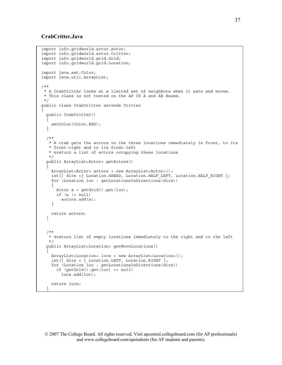#### **CrabCritter.Java**

```
import info.gridworld.actor.Actor; 
import info.gridworld.actor.Critter; 
import info.gridworld.grid.Grid; 
import info.gridworld.grid.Location; 
import java.awt.Color; 
import java.util.ArrayList; 
/** 
  * A CrabCritter looks at a limited set of neighbors when it eats and moves. 
  * This class is not tested on the AP CS A and AB Exams. 
  */ 
public class CrabCritter extends Critter 
{ 
   public CrabCritter() 
\{setColor(Color.RED);
   } 
   /** 
   * A crab gets the actors in the three locations immediately in front, to its 
    * front-right and to its front-left 
    * @return a list of actors occupying these locations 
    */ 
   public ArrayList<Actor> getActors() 
\{ ArrayList<Actor> actors = new ArrayList<Actor>(); 
    int [] dirs = { Location.AHEAD, Location.HALF LEFT, Location.HALF RIGHT };
     for (Location loc : getLocationsInDirections(dirs)) 
\{Actor a = getGrid().get(loc);if (a := null) actors.add(a); 
     } 
    return actors; 
   } 
   /** 
    * @return list of empty locations immediately to the right and to the left 
    */ 
   public ArrayList<Location> getMoveLocations() 
\{ ArrayList<Location> locs = new ArrayList<Location>(); 
    int[] dirs = \{ Location.LEFT, Location.RIGHT \}; for (Location loc : getLocationsInDirections(dirs)) 
       if (getGrid().get(loc) == null) 
         locs.add(loc); 
     return locs; 
 }
```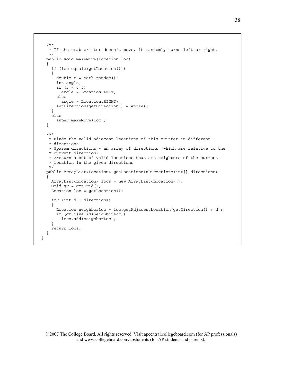```
 /** 
    * If the crab critter doesn't move, it randomly turns left or right. 
    */ 
   public void makeMove(Location loc) 
\{ if (loc.equals(getLocation())) 
     { 
      double r = Math.random();
       int angle; 
       if (r < 0.5) 
         angle = Location.LEFT; 
       else 
         angle = Location.RIGHT; 
       setDirection(getDirection() + angle); 
     } 
     else 
       super.makeMove(loc); 
   } 
   /** 
    * Finds the valid adjacent locations of this critter in different 
    * directions. 
    * @param directions - an array of directions (which are relative to the 
    * current direction) 
    * @return a set of valid locations that are neighbors of the current 
    * location in the given directions 
    */ 
   public ArrayList<Location> getLocationsInDirections(int[] directions) 
\{ ArrayList<Location> locs = new ArrayList<Location>(); 
    Grid qr = qetGrid();
    Location loc = getLocation();
     for (int d : directions) 
\{Location neighborLoc = loc.getAdjacentLocation(getDirection() + d);
       if (gr.isValid(neighborLoc)) 
         locs.add(neighborLoc); 
 } 
     return locs; 
   } 
}
```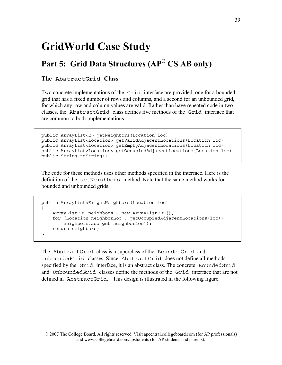### **GridWorld Case Study**

### **Part 5: Grid Data Structures (AP® CS AB only)**

### **The AbstractGrid Class**

Two concrete implementations of the Grid interface are provided, one for a bounded grid that has a fixed number of rows and columns, and a second for an unbounded grid, for which any row and column values are valid. Rather than have repeated code in two classes, the AbstractGrid class defines five methods of the Grid interface that are common to both implementations.

```
public ArrayList<E> getNeighbors(Location loc) 
public ArrayList<Location> getValidAdjacentLocations(Location loc) 
public ArrayList<Location> getEmptyAdjacentLocations(Location loc) 
public ArrayList<Location> getOccupiedAdjacentLocations(Location loc) 
public String toString()
```
The code for these methods uses other methods specified in the interface. Here is the definition of the getNeighbors method. Note that the same method works for bounded and unbounded grids.

```
public ArrayList<E> getNeighbors(Location loc) 
{ 
    ArrayList<E> neighbors = new ArrayList<E>(); 
     for (Location neighborLoc : getOccupiedAdjacentLocations(loc)) 
         neighbors.add(get(neighborLoc)); 
    return neighbors; 
}
```
The AbstractGrid class is a superclass of the BoundedGrid and UnboundedGrid classes. Since AbstractGrid does not define all methods specified by the Grid interface, it is an abstract class. The concrete BoundedGrid and UnboundedGrid classes define the methods of the Grid interface that are not defined in AbstractGrid. This design is illustrated in the following figure.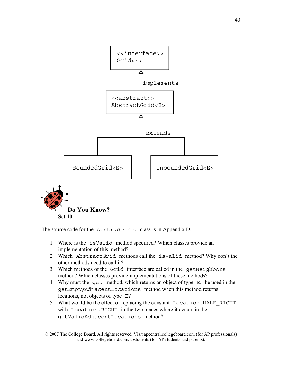

The source code for the AbstractGrid class is in Appendix D.

- 1. Where is the isValid method specified? Which classes provide an implementation of this method?
- 2. Which AbstractGrid methods call the isValid method? Why don't the other methods need to call it?
- 3. Which methods of the Grid interface are called in the getNeighbors method? Which classes provide implementations of these methods?
- 4. Why must the get method, which returns an object of type E, be used in the getEmptyAdjacentLocations method when this method returns locations, not objects of type E?
- 5. What would be the effect of replacing the constant Location. HALF RIGHT with Location.RIGHT in the two places where it occurs in the getValidAdjacentLocations method?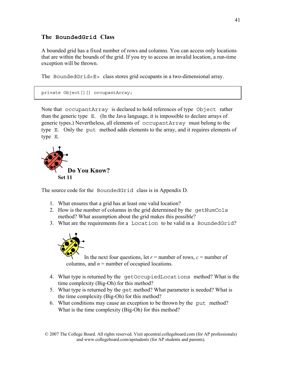### **The BoundedGrid Class**

A bounded grid has a fixed number of rows and columns. You can access only locations that are within the bounds of the grid. If you try to access an invalid location, a run-time exception will be thrown.

The BoundedGrid<E> class stores grid occupants in a two-dimensional array.

```
private Object[][] occupantArray;
```
Note that occupantArray is declared to hold references of type Object rather than the generic type  $E$ . (In the Java language, it is impossible to declare arrays of generic types.) Nevertheless, all elements of occupantArray must belong to the type E. Only the put method adds elements to the array, and it requires elements of type E.



The source code for the BoundedGrid class is in Appendix D.

- 1. What ensures that a grid has at least one valid location?
- 2. How is the number of columns in the grid determined by the getNumCols method? What assumption about the grid makes this possible?
- 3. What are the requirements for a Location to be valid in a BoundedGrid?



In the next four questions, let  $r =$  number of rows,  $c =$  number of columns, and  $n =$  number of occupied locations.

- 4. What type is returned by the getOccupiedLocations method? What is the time complexity (Big-Oh) for this method?
- 5. What type is returned by the get method? What parameter is needed? What is the time complexity (Big-Oh) for this method?
- 6. What conditions may cause an exception to be thrown by the put method? What is the time complexity (Big-Oh) for this method?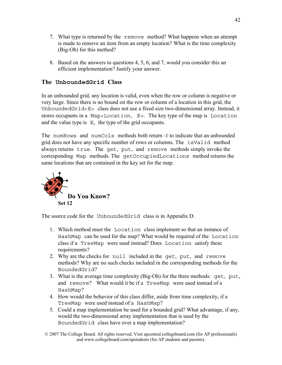- 7. What type is returned by the remove method? What happens when an attempt is made to remove an item from an empty location? What is the time complexity (Big-Oh) for this method?
- 8. Based on the answers to questions 4, 5, 6, and 7, would you consider this an efficient implementation? Justify your answer.

### **The UnboundedGrid Class**

In an unbounded grid, any location is valid, even when the row or column is negative or very large. Since there is no bound on the row or column of a location in this grid, the UnboundedGrid<E> class does not use a fixed size two-dimensional array. Instead, it stores occupants in a Map<Location, E>. The key type of the map is Location and the value type is E, the type of the grid occupants.

The numRows and numCols methods both return -1 to indicate that an unbounded grid does not have any specific number of rows or columns. The isValid method always returns true. The get, put, and remove methods simply invoke the corresponding Map methods. The getOccupiedLocations method returns the same locations that are contained in the key set for the map.



The source code for the UnboundedGrid class is in Appendix D.

- 1. Which method must the Location class implement so that an instance of HashMap can be used for the map? What would be required of the Location class if a TreeMap were used instead? Does Location satisfy these requirements?
- 2. Why are the checks for null included in the get, put, and remove methods? Why are no such checks included in the corresponding methods for the BoundedGrid?
- 3. What is the average time complexity (Big-Oh) for the three methods: get, put, and remove? What would it be if a TreeMap were used instead of a HashMap?
- 4. How would the behavior of this class differ, aside from time complexity, if a TreeMap were used instead of a HashMap?
- 5. Could a map implementation be used for a bounded grid? What advantage, if any, would the two-dimensional array implementation that is used by the BoundedGrid class have over a map implementation?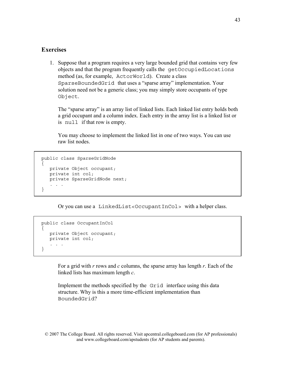### **Exercises**

1. Suppose that a program requires a very large bounded grid that contains very few objects and that the program frequently calls the getOccupiedLocations method (as, for example, ActorWorld). Create a class SparseBoundedGrid that uses a "sparse array" implementation. Your solution need not be a generic class; you may simply store occupants of type Object.

The "sparse array" is an array list of linked lists. Each linked list entry holds both a grid occupant and a column index. Each entry in the array list is a linked list or is null if that row is empty.

You may choose to implement the linked list in one of two ways. You can use raw list nodes.

```
public class SparseGridNode 
{ 
    private Object occupant; 
    private int col; 
    private SparseGridNode next; 
 . . . 
}
```
Or you can use a LinkedList<OccupantInCol> with a helper class.

```
public class OccupantInCol 
{ 
    private Object occupant; 
    private int col; 
    . . . 
}
```
For a grid with *r* rows and *c* columns, the sparse array has length *r*. Each of the linked lists has maximum length *c*.

Implement the methods specified by the Grid interface using this data structure. Why is this a more time-efficient implementation than BoundedGrid?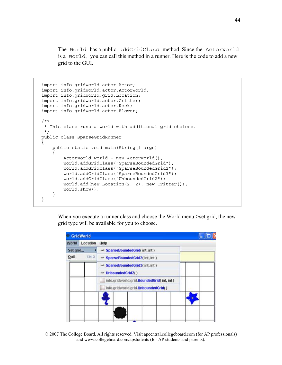The World has a public addGridClass method. Since the ActorWorld is a World, you can call this method in a runner. Here is the code to add a new grid to the GUI.

```
import info.gridworld.actor.Actor; 
import info.gridworld.actor.ActorWorld; 
import info.gridworld.grid.Location; 
import info.gridworld.actor.Critter; 
import info.gridworld.actor.Rock; 
import info.gridworld.actor.Flower; 
/** 
  * This class runs a world with additional grid choices. 
  */ 
public class SparseGridRunner 
{ 
     public static void main(String[] args) 
 { 
         ActorWorld world = new ActorWorld(); 
         world.addGridClass("SparseBoundedGrid"); 
         world.addGridClass("SparseBoundedGrid2"); 
         world.addGridClass("SparseBoundedGrid3"); 
         world.addGridClass("UnboundedGrid2"); 
         world.add(new Location(2, 2), new Critter()); 
         world.show(); 
     } 
}
```
When you execute a runner class and choose the World menu->set grid, the new grid type will be available for you to choose.



© 2007 The College Board. All rights reserved. Visit apcentral.collegeboard.com (for AP professionals) and www.collegeboard.com/apstudents (for AP students and parents).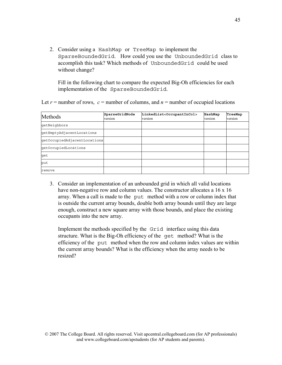2. Consider using a HashMap or TreeMap to implement the SparseBoundedGrid. How could you use the UnboundedGrid class to accomplish this task? Which methods of UnboundedGrid could be used without change?

Fill in the following chart to compare the expected Big-Oh efficiencies for each implementation of the SparseBoundedGrid.

Let  $r =$  number of rows,  $c =$  number of columns, and  $n =$  number of occupied locations

| Methods                      | SparseGridNode<br>version | LinkedList <occupantincol><br/>version</occupantincol> | HashMap<br>version | TreeMap<br>version |
|------------------------------|---------------------------|--------------------------------------------------------|--------------------|--------------------|
| qetNeighbors                 |                           |                                                        |                    |                    |
| qetEmptyAdjacentLocations    |                           |                                                        |                    |                    |
| qetOccupiedAdjacentLocations |                           |                                                        |                    |                    |
| qetOccupiedLocations         |                           |                                                        |                    |                    |
| lqet                         |                           |                                                        |                    |                    |
| put                          |                           |                                                        |                    |                    |
| remove                       |                           |                                                        |                    |                    |

3. Consider an implementation of an unbounded grid in which all valid locations have non-negative row and column values. The constructor allocates a 16 x 16 array. When a call is made to the put method with a row or column index that is outside the current array bounds, double both array bounds until they are large enough, construct a new square array with those bounds, and place the existing occupants into the new array.

Implement the methods specified by the Grid interface using this data structure. What is the Big-Oh efficiency of the get method? What is the efficiency of the put method when the row and column index values are within the current array bounds? What is the efficiency when the array needs to be resized?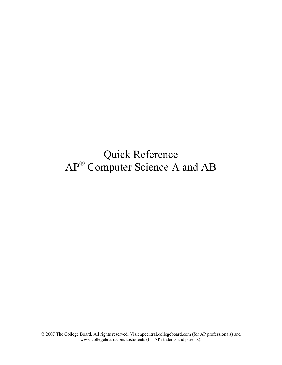### Quick Reference AP<sup>®</sup> Computer Science A and AB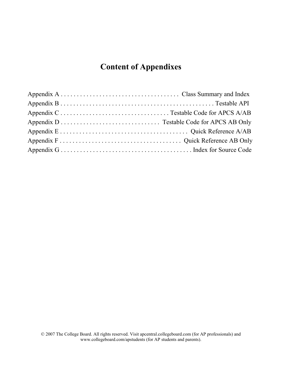### **Content of Appendixes**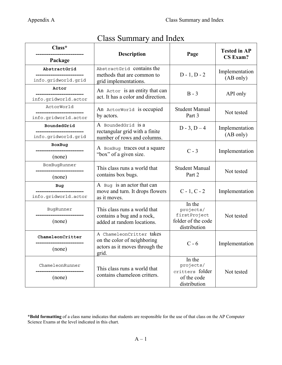| $Class^*$                                         | Description                                                  | Page                                | <b>Tested in AP</b><br><b>CS Exam?</b> |  |
|---------------------------------------------------|--------------------------------------------------------------|-------------------------------------|----------------------------------------|--|
| Package                                           |                                                              |                                     |                                        |  |
| AbstractGrid<br>---------------------             | AbstractGrid contains the<br>methods that are common to      | $D - 1, D - 2$                      | Implementation                         |  |
| info.gridworld.grid                               | grid implementations.                                        |                                     | (AB only)                              |  |
| Actor                                             | An Actor is an entity that can                               | $B - 3$<br>API only                 |                                        |  |
| info.gridworld.actor                              | act. It has a color and direction.                           |                                     |                                        |  |
| ActorWorld<br>---------------------------         | An ActorWorld is occupied                                    | <b>Student Manual</b>               | Not tested                             |  |
| info.gridworld.actor                              | by actors.                                                   | Part 3                              |                                        |  |
| BoundedGrid<br>-----------------------            | A BoundedGrid is a<br>rectangular grid with a finite         | $D - 3$ , $D - 4$                   | Implementation                         |  |
| info.gridworld.grid                               | number of rows and columns.                                  |                                     | (AB only)                              |  |
| BoxBug                                            | A BoxBug traces out a square                                 |                                     |                                        |  |
| (none)                                            | "box" of a given size.                                       | $C - 3$                             | Implementation                         |  |
| BoxBugRunner                                      | This class runs a world that                                 | <b>Student Manual</b>               |                                        |  |
| (none)                                            | contains box bugs.                                           | Part 2                              | Not tested                             |  |
| Bug                                               | A Bug is an actor that can                                   |                                     |                                        |  |
| .________________________<br>info.gridworld.actor | move and turn. It drops flowers<br>as it moves.              | $C - 1, C - 2$                      | Implementation                         |  |
| BugRunner                                         | This class runs a world that<br>contains a bug and a rock,   | In the<br>projects/<br>firstProject | Not tested                             |  |
| (none)                                            | added at random locations.                                   | folder of the code<br>distribution  |                                        |  |
| ChameleonCritter<br>______________________        | A ChameleonCritter takes<br>on the color of neighboring      | $C - 6$                             | Implementation                         |  |
| (none)                                            | actors as it moves through the<br>grid.                      |                                     |                                        |  |
| ChameleonRunner                                   |                                                              | In the<br>projects/                 |                                        |  |
|                                                   | This class runs a world that<br>contains chameleon critters. | critters folder                     | Not tested                             |  |
| (none)                                            |                                                              | of the code<br>distribution         |                                        |  |

### Class Summary and Index

\***Bold formatting** of a class name indicates that students are responsible for the use of that class on the AP Computer Science Exams at the level indicated in this chart.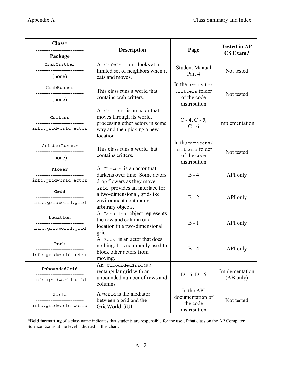| Class*                                          | <b>Description</b>                                                                                                      | Page                                               | <b>Tested in AP</b> |  |
|-------------------------------------------------|-------------------------------------------------------------------------------------------------------------------------|----------------------------------------------------|---------------------|--|
| Package                                         |                                                                                                                         |                                                    | <b>CS Exam?</b>     |  |
| CrabCritter                                     | A CrabCritter looks at a<br>limited set of neighbors when it                                                            | <b>Student Manual</b>                              | Not tested          |  |
| (none)                                          | eats and moves.                                                                                                         | Part 4                                             |                     |  |
| CrabRunner                                      | This class runs a world that                                                                                            | In the projects/<br>critters folder                | Not tested          |  |
| (none)                                          | contains crab critters.                                                                                                 | of the code<br>distribution                        |                     |  |
| Critter<br>info.gridworld.actor                 | A Critter is an actor that<br>moves through its world,<br>processing other actors in some<br>way and then picking a new | $C - 4, C - 5,$<br>$C - 6$                         | Implementation      |  |
| CritterRunner                                   | location.<br>This class runs a world that<br>contains critters.                                                         | In the projects/<br>critters folder<br>of the code | Not tested          |  |
| (none)                                          |                                                                                                                         | distribution                                       |                     |  |
| Flower                                          | A Flower is an actor that<br>darkens over time. Some actors                                                             | $B - 4$                                            | API only            |  |
| info.gridworld.actor                            | drop flowers as they move.                                                                                              |                                                    |                     |  |
| Grid                                            | Grid provides an interface for<br>a two-dimensional, grid-like                                                          | $B - 2$                                            | API only            |  |
| info.gridworld.grid                             | environment containing<br>arbitrary objects.                                                                            |                                                    |                     |  |
| Location                                        | A Location object represents<br>the row and column of a                                                                 | $B - 1$                                            | API only            |  |
| info.gridworld.grid                             | location in a two-dimensional<br>grid.                                                                                  |                                                    |                     |  |
| Rock                                            | A Rock is an actor that does<br>nothing. It is commonly used to                                                         | $B - 4$                                            | API only            |  |
| info.gridworld.actor                            | block other actors from<br>moving.                                                                                      |                                                    |                     |  |
| UnboundedGrid                                   | An UnboundedGrid is a<br>rectangular grid with an                                                                       | $D - 5$ , $D - 6$                                  | Implementation      |  |
| info.gridworld.grid                             | unbounded number of rows and<br>columns.                                                                                | (AB only)                                          |                     |  |
| World                                           | A world is the mediator                                                                                                 | In the API<br>documentation of                     |                     |  |
| -----------------------<br>info.gridworld.world | between a grid and the<br>GridWorld GUI.                                                                                | the code<br>distribution                           | Not tested          |  |

\***Bold formatting** of a class name indicates that students are responsible for the use of that class on the AP Computer Science Exams at the level indicated in this chart.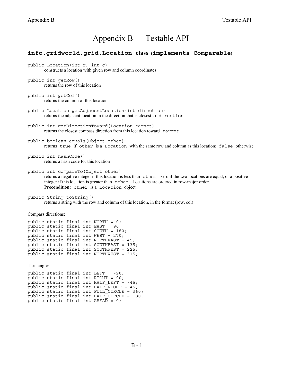### Appendix B — Testable API

#### **info.gridworld.grid.Location class (implements Comparable)**

- public Location(int r, int c) constructs a location with given row and column coordinates
- public int getRow() returns the row of this location
- public int getCol() returns the column of this location
- public Location getAdjacentLocation(int direction) returns the adjacent location in the direction that is closest to direction
- public int getDirectionToward(Location target) returns the closest compass direction from this location toward target
- public boolean equals(Object other) returns true if other is a Location with the same row and column as this location; false otherwise
- public int hashCode() returns a hash code for this location
- public int compareTo(Object other) returns a negative integer if this location is less than other, zero if the two locations are equal, or a positive integer if this location is greater than other. Locations are ordered in row-major order. **Precondition:** other is a Location object.
- public String toString() returns a string with the row and column of this location, in the format (row, col)

Compass directions:

```
public static final int NORTH = 0; 
public static final int EAST = 90; 
public static final int SOUTH = 180; 
public static final int WEST = 270;
public static final int NORTHEAST = 45; 
public static final int SOUTHEAST = 135; 
public static final int SOUTHWEST = 225; 
public static final int NORTHWEST = 315;
```
Turn angles:

```
public static final int LEFT = -90; 
public static final int RIGHT = 90; 
public static final int HALF_LEFT = -45; 
public static final int HALF RIGHT = 45;
public static final int {\tt FULL\_CIRCLE~=~} 360;
public static final int HALF<sup>-</sup>CIRCLE = 180;
public static final int AHEA\overline{D} = 0;
```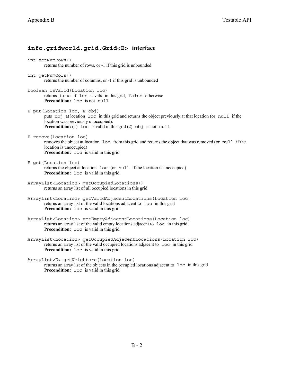### **info.gridworld.grid.Grid<E> interface**

int getNumRows() returns the number of rows, or -1 if this grid is unbounded

- int getNumCols() returns the number of columns, or -1 if this grid is unbounded
- boolean isValid(Location loc) returns true if loc is valid in this grid, false otherwise **Precondition:** loc is not null

E put(Location loc, E obj) puts obj at location loc in this grid and returns the object previously at that location (or null if the location was previously unoccupied). **Precondition:** (1) loc is valid in this grid (2) obj is not null

- E remove(Location loc) removes the object at location loc from this grid and returns the object that was removed (or null if the location is unoccupied) **Precondition:** loc is valid in this grid
- E get(Location loc) returns the object at location loc (or null if the location is unoccupied) **Precondition:** loc is valid in this grid
- ArrayList<Location> getOccupiedLocations() returns an array list of all occupied locations in this grid
- ArrayList<Location> getValidAdjacentLocations(Location loc) returns an array list of the valid locations adjacent to loc in this grid **Precondition:**  $\log$  is valid in this grid
- ArrayList<Location> getEmptyAdjacentLocations(Location loc) returns an array list of the valid empty locations adjacent to loc in this grid **Precondition:** loc is valid in this grid
- ArrayList<Location> getOccupiedAdjacentLocations(Location loc) returns an array list of the valid occupied locations adjacent to loc in this grid Precondition: loc is valid in this grid

ArrayList<E> getNeighbors(Location loc)

returns an array list of the objects in the occupied locations adjacent to loc in this grid **Precondition:** loc is valid in this grid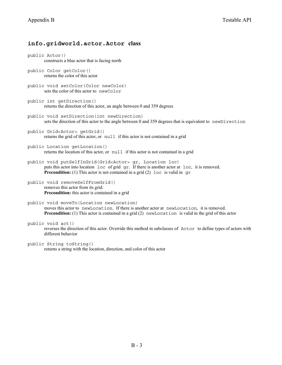#### **info.gridworld.actor.Actor class**

public Actor() constructs a blue actor that is facing north public Color getColor() returns the color of this actor public void setColor(Color newColor) sets the color of this actor to newColor public int getDirection() returns the direction of this actor, an angle between 0 and 359 degrees public void setDirection(int newDirection) sets the direction of this actor to the angle between 0 and 359 degrees that is equivalent to newDirection public Grid<Actor> getGrid() returns the grid of this actor, or null if this actor is not contained in a grid public Location getLocation() returns the location of this actor, or null if this actor is not contained in a grid public void putSelfInGrid(Grid<Actor> gr, Location loc) puts this actor into location loc of grid gr. If there is another actor at loc, it is removed. **Precondition:** (1) This actor is not contained in a grid (2) loc is valid in gr public void removeSelfFromGrid() removes this actor from its grid. **Precondition:** this actor is contained in a grid public void moveTo(Location newLocation) moves this actor to newLocation. If there is another actor at newLocation, it is removed. **Precondition:** (1) This actor is contained in a grid (2) newLocation is valid in the grid of this actor

#### public void act()

reverses the direction of this actor. Override this method in subclasses of Actor to define types of actors with different behavior

```
public String toString()
```
returns a string with the location, direction, and color of this actor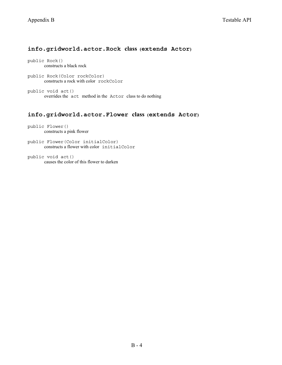#### **info.gridworld.actor.Rock class (extends Actor)**

public Rock() constructs a black rock

public Rock(Color rockColor) constructs a rock with color rockColor

public void act() overrides the act method in the Actor class to do nothing

#### **info.gridworld.actor.Flower class (extends Actor)**

public Flower() constructs a pink flower

public Flower(Color initialColor) constructs a flower with color initialColor

public void act() causes the color of this flower to darken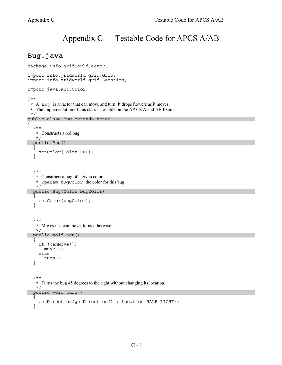### Appendix C — Testable Code for APCS A/AB

### **Bug.java**

```
package info.gridworld.actor; 
import info.gridworld.grid.Grid; 
import info.gridworld.grid.Location; 
import java.awt.Color; 
/** 
  * A Bug is an actor that can move and turn. It drops flowers as it moves. 
  * The implementation of this class is testable on the AP CS A and AB Exams. 
  */ 
public class Bug extends Actor 
\left\{ \right. /** 
     * Constructs a red bug. 
     */
   public Bug() 
 { 
     setColor(Color.RED);
    } 
    /** 
     * Constructs a bug of a given color. 
     * @param bugColor the color for this bug 
     */ 
   public Bug(Color bugColor) 
\{setColor(bugColor);
    } 
    /** 
     * Moves if it can move, turns otherwise.
    \star public void act() 
   \{ if (canMove()) 
         move(); 
      else 
         turn(); 
    } 
    /** 
     * Turns the bug 45 degrees to the right without changing its location. 
     */ 
   public void turn() 
    { 
     setDirection(getDirection() + Location.HALF_RIGHT);
    }
```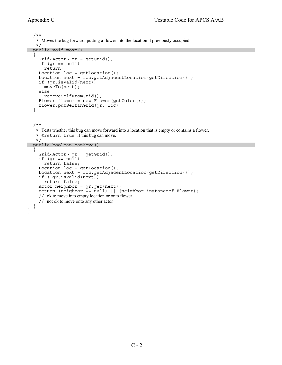```
 /** 
    * Moves the bug forward, putting a flower into the location it previously occupied. 
    */ 
   public void move() 
\{Grid<Actor> qr = qetGrid();
    if (qr == null) return; 
    Location loc = getLocation();
    Location next = loc.getAdjacentLocation(getDirection());
     if (gr.isValid(next)) 
       moveTo(next); 
     else 
       removeSelfFromGrid(); 
    Flower flower = new Flower(getColor());
     flower.putSelfInGrid(gr, loc); 
   } 
   /** 
    * Tests whether this bug can move forward into a location that is empty or contains a flower. 
    * @return true if this bug can move. 
    */ 
   public boolean canMove() 
  \{Grid<Actor> gr = getGrid();
    if (qr == null) return false; 
     Location loc = getLocation(); 
    Location next = loc.getAdjacentLocation(getDirection());
     if (!gr.isValid(next)) 
        return false; 
    Actor neighbor = qr.get(new);
     return (neighbor == null) || (neighbor instanceof Flower); 
     // ok to move into empty location or onto flower
     // not ok to move onto any other actor
   } 
}
```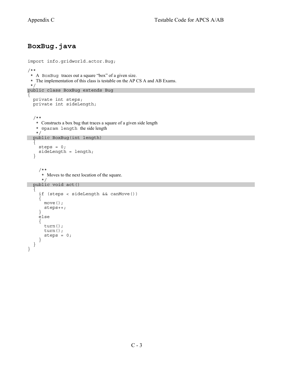### **BoxBug.java**

```
import info.gridworld.actor.Bug; 
/** 
  * A BoxBug traces out a square "box" of a given size. 
  * The implementation of this class is testable on the AP CS A and AB Exams. 
  */ 
public class BoxBug extends Bug 
\{ private int steps; 
   private int sideLength; 
   /** 
     * Constructs a box bug that traces a square of a given side length 
     * @param length the side length 
     */ 
   public BoxBug(int length) 
\{steps = 0; sideLength = length; 
   } 
      /** 
      * Moves to the next location of the square.
 */ 
 public void act() 
 { 
      if (steps < sideLength && canMove()) 
      { 
        move(); 
        steps++; 
      } 
      else 
     \{ turn(); 
        turn(); 
       steps = 0; } 
   } 
}
```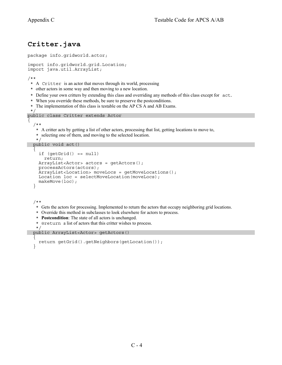### **Critter.java**

```
package info.gridworld.actor; 
import info.gridworld.grid.Location; 
import java.util.ArrayList; 
/** 
  * A Critter is an actor that moves through its world, processing 
  * other actors in some way and then moving to a new location. 
  * Define your own critters by extending this class and overriding any methods of this class except for act. * When you override these methods, be sure to preserve the postconditions.
  * The implementation of this class is testable on the AP CS A and AB Exams. 
  */ 
public class Critter extends Actor 
\{ /** 
     * A critter acts by getting a list of other actors, processing that list, getting locations to move to, 
     * selecting one of them, and moving to the selected location. 
     */ 
   public void act() 
   \{ if (getGrid() == null) 
         return; 
      ArrayList<Actor> actors = getActors(); 
      processActors(actors); 
      ArrayList<Location> moveLocs = getMoveLocations(); 
      Location loc = selectMoveLocation(moveLocs); 
      makeMove(loc); 
    } 
    /** 
     * Gets the actors for processing. Implemented to return the actors that occupy neighboring grid locations. 
     * Override this method in subclasses to look elsewhere for actors to process.
     * Postcondition: The state of all actors is unchanged.
     * @return a list of actors that this critter wishes to process.
    \star public ArrayList<Actor> getActors() 
 { 
      return getGrid().getNeighbors(getLocation()); 
 }
```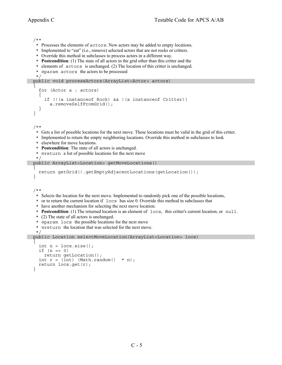```
 /** 
    * Processes the elements of actors. New actors may be added to empty locations. 
    * Implemented to "eat" (i.e., remove) selected actors that are not rocks or critters. 
    * Override this method in subclasses to process actors in a different way.
    * Postcondition: (1) The state of all actors in the grid other than this critter and the 
    * elements of actors is unchanged. (2) The location of this critter is unchanged.
     * @param actors the actors to be processed
    */ 
   public void processActors(ArrayList<Actor> actors) 
\{ for (Actor a : actors) 
      { 
         if (!(a instanceof Rock) && !(a instanceof Critter)) 
           a.removeSelfFromGrid(); 
      } 
   } 
   /** 
     * Gets a list of possible locations for the next move. These locations must be valid in the grid of this critter. 
    * Implemented to return the empty neighboring locations. Override this method in subclasses to look
    * elsewhere for move locations.
    * Postcondition: The state of all actors is unchanged.
     * @return a list of possible locations for the next move
    */ 
   public ArrayList<Location> getMoveLocations() 
\overline{f} return getGrid().getEmptyAdjacentLocations(getLocation()); 
   } 
   /** 
    * Selects the location for the next move. Implemented to randomly pick one of the possible locations, 
     * or to return the current location if locs has size 0. Override this method in subclasses that 
     * have another mechanism for selecting the next move location. 
     * Postcondition: (1) The returned location is an element of locs, this critter's current location, or null.
    * (2) The state of all actors is unchanged.
    * @param locs the possible locations for the next move
    * @return the location that was selected for the next move.
    */ 
   public Location selectMoveLocation(ArrayList<Location> locs) 
\overline{f}int n = \text{locs.size}();
     if (n == 0) return getLocation(); 
     int r = (int) (Math.random() * n);
     return \text{locs.get}(r);
   }
```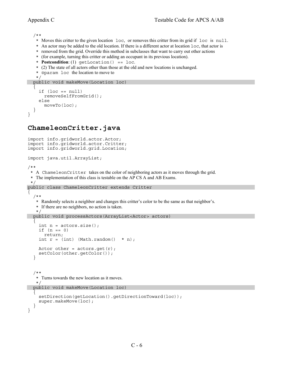/\*\*

- \* Moves this critter to the given location loc, or removes this critter from its grid if loc is null.
- \* An actor may be added to the old location. If there is a different actor at location loc, that actor is
- \* removed from the grid. Override this method in subclasses that want to carry out other actions
- \* (for example, turning this critter or adding an occupant in its previous location).
- \* **Postcondition**: (1) getLocation() == loc.
- \* (2) The state of all actors other than those at the old and new locations is unchanged.
- \* @param loc the location to move to \*/

```
 public void makeMove(Location loc)
```

```
\overline{f}if (loc == null) removeSelfFromGrid(); 
     else 
        moveTo(loc); 
 } 
}
```
### **ChameleonCritter.java**

```
import info.gridworld.actor.Actor; 
import info.gridworld.actor.Critter; 
import info.gridworld.grid.Location; 
import java.util.ArrayList; 
/** 
  * A ChameleonCritter takes on the color of neighboring actors as it moves through the grid. 
  * The implementation of this class is testable on the AP CS A and AB Exams. 
  */ 
public class ChameleonCritter extends Critter 
{ 
   /** 
    * Randomly selects a neighbor and changes this critter's color to be the same as that neighbor's. 
    * If there are no neighbors, no action is taken. 
    */ 
   public void processActors(ArrayList<Actor> actors) 
\overline{f}int n = actors.size();
     if (n == 0) return; 
     int r = (int) (Math.random() * n);
    Actor other = actors.get(r);
      setColor(other.getColor()); 
   } 
   /** 
    * Turns towards the new location as it moves. 
   \star public void makeMove(Location loc) 
\overline{f}setDirection(qetLocation().getDirectionToward(loc));
      super.makeMove(loc); 
 } 
}
```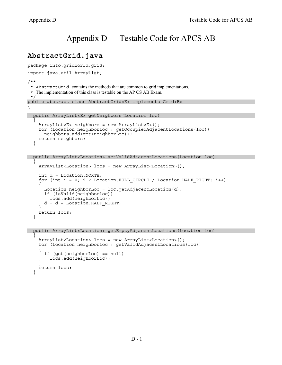}

### Appendix D — Testable Code for APCS AB

### **AbstractGrid.java**

```
package info.gridworld.grid; 
import java.util.ArrayList; 
/** 
  * AbstractGrid contains the methods that are common to grid implementations. 
  * The implementation of this class is testable on the AP CS AB Exam. 
  */ 
public abstract class AbstractGrid<E> implements Grid<E> 
{ 
 public ArrayList<E> getNeighbors(Location loc) 
  \left\{ \right. ArrayList<E> neighbors = new ArrayList<E>(); 
     for (Location neighborLoc : getOccupiedAdjacentLocations(loc)) 
       neighbors.add(get(neighborLoc)); 
     return neighbors; 
   } 
  public ArrayList<Location> getValidAdjacentLocations(Location loc) 
  \left\{ \right. ArrayList<Location> locs = new ArrayList<Location>(); 
     int d = Location.NORTH; 
     for (int i = 0; i < Location.FULL_CIRCLE / Location.HALF_RIGHT; i++) 
 { 
      Location neighborLoc = loc.getAdjacentLocation(d);
       if (isValid(neighborLoc)) 
          locs.add(neighborLoc);
```

```
d = d + Location.HALF RIGHT; } 
   return locs; 
 }
```
 public ArrayList<Location> getEmptyAdjacentLocations(Location loc)  $\{$ 

```
 ArrayList<Location> locs = new ArrayList<Location>(); 
    for (Location neighborLoc : getValidAdjacentLocations(loc)) 
 { 
       if (get(neighborLoc) == null) 
         locs.add(neighborLoc); 
 } 
    return locs;
```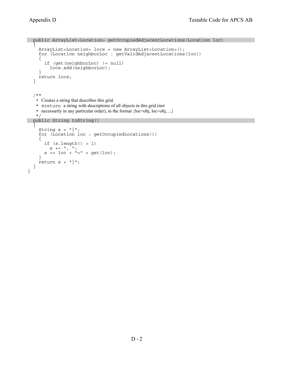```
 public ArrayList<Location> getOccupiedAdjacentLocations(Location loc) 
  \left\{ \right. ArrayList<Location> locs = new ArrayList<Location>(); 
     for (Location neighborLoc : getValidAdjacentLocations(loc)) 
     { 
        if (get(neighborLoc) != null) 
          locs.add(neighborLoc); 
     } 
     return locs; 
   } 
   /** 
    * Creates a string that describes this grid. 
    * @return a string with descriptions of all objects in this grid (not 
    * necessarily in any particular order), in the format {loc=obj, loc=obj, ...} 
    */ 
   public String toString() 
  \{String s = "\n;
     for (Location loc : getOccupiedLocations()) 
     { 
       if (s.length() > 1)S += '', '';
s += loc + "=" + get(loc);
     } 
    return s + "}';
   } 
}
```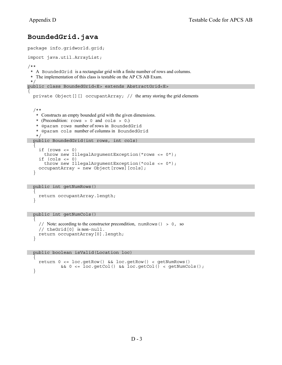### **BoundedGrid.java**

```
package info.gridworld.grid; 
import java.util.ArrayList; 
/** 
  * A BoundedGrid is a rectangular grid with a finite number of rows and columns. 
  * The implementation of this class is testable on the AP CS AB Exam. 
 \starpublic class BoundedGrid<E> extends AbstractGrid<E> 
{ 
  private Object [][] occupantArray; // the array storing the grid elements
   /** 
    * Constructs an empty bounded grid with the given dimensions. 
    * (Precondition: rows > 0 and cols > 0.) 
    * @param rows number of rows in BoundedGrid
    * @param cols number of columns in BoundedGrid
    */ 
   public BoundedGrid(int rows, int cols) 
\{if (rows < = 0) throw new IllegalArgumentException("rows <= 0"); 
    if (cols \le 0) throw new IllegalArgumentException("cols <= 0"); 
     occupantArray = new Object[rows][cols]; 
   }
```

```
 public int getNumRows() 
 { 
     return occupantArray.length; 
   }
```
 public int getNumCols() {

```
// Note: according to the constructor precondition, numRows() > 0, so
   // theGrid[0] is non-null. 
   return occupantArray[0].length; 
 }
```
 public boolean isValid(Location loc)  $\{$ 

```
 return 0 <= loc.getRow() && loc.getRow() < getNumRows() 
           && 0 <= loc.getCol() && loc.getCol() < getNumCols(); 
 }
```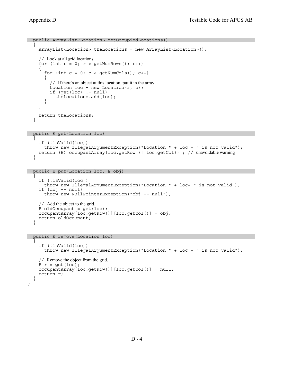```
 public ArrayList<Location> getOccupiedLocations() 
 { 
     ArrayList<Location> theLocations = new ArrayList<Location>(); 
     // Look at all grid locations.
    for (int r = 0; r < getNumRows(); r++)
 { 
      for (int c = 0; c < qetNumCols(); c++)
\{ // If there's an object at this location, put it in the array.
        Location loc = new Location(r, c);
        if (qet(loc) != null)theLocations.add(loc);<br>}
 } 
     } 
     return theLocations; 
   } 
  public E get(Location loc) 
\{ if (!isValid(loc)) 
       throw new IllegalArgumentException("Location " + loc + " is not valid"); 
     return (E) occupantArray[loc.getRow()][loc.getCol()]; // unavoidable warning
   }
```

```
 public E put(Location loc, E obj)
```

```
\overline{f} if (!isValid(loc)) 
       throw new IllegalArgumentException("Location " + loc+ " is not valid"); 
     if (obj == null) 
       throw new NullPointerException("obj == null"); 
     // Add the object to the grid.
    E oldOccupant = get(loc);
     occupantArray[loc.getRow()][loc.getCol()] = obj; 
     return oldOccupant; 
   }
```
public E remove(Location loc)

}

```
 { 
     if (!isValid(loc)) 
       throw new IllegalArgumentException("Location " + loc + " is not valid"); 
     // Remove the object from the grid.
    E r = qet(loc);
     occupantArray[loc.getRow()][loc.getCol()] = null; 
     return r; 
  }
```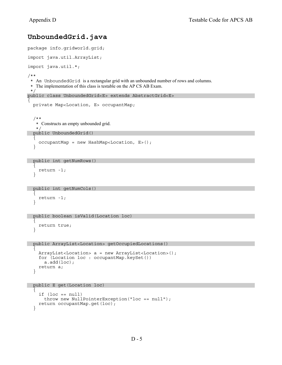### **UnboundedGrid.java**

```
package info.gridworld.grid; 
import java.util.ArrayList; 
import java.util.*; 
/** 
  * An UnboundedGrid is a rectangular grid with an unbounded number of rows and columns. 
  * The implementation of this class is testable on the AP CS AB Exam. 
  */ 
public class UnboundedGrid<E> extends AbstractGrid<E> 
{ 
   private Map<Location, E> occupantMap; 
   /** 
    * Constructs an empty unbounded grid. 
    */ 
   public UnboundedGrid() 
\overline{f} occupantMap = new HashMap<Location, E>(); 
    } 
   public int getNumRows() 
  \left\{ \right.
```

```
 return -1; 
 }
```
}

}

```
 public int getNumCols() 
  { 
    return -1;
```

```
 public boolean isValid(Location loc)
```

```
\overline{f} return true;
```

```
 public ArrayList<Location> getOccupiedLocations()
```

```
\overline{f} ArrayList<Location> a = new ArrayList<Location>(); 
     for (Location loc : occupantMap.keySet()) 
       a.add(loc); 
     return a; 
   }
```

```
 public E get(Location loc)
```

```
\mathcal{L}if (loc == null) throw new NullPointerException("loc == null"); 
   return occupantMap.get(loc); 
 }
```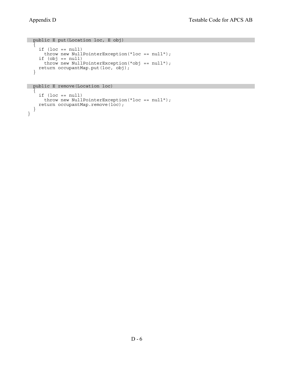}

```
 public E put(Location loc, E obj) 
   { 
     if (loc == null) 
      throw new NullPointerException("loc == null"); 
     if (obj == null) 
 throw new NullPointerException("obj == null"); 
 return occupantMap.put(loc, obj); 
   }
```
public E remove(Location loc)

```
 { 
   if (loc == null) 
     throw new NullPointerException("loc == null"); 
   return occupantMap.remove(loc); 
 }
```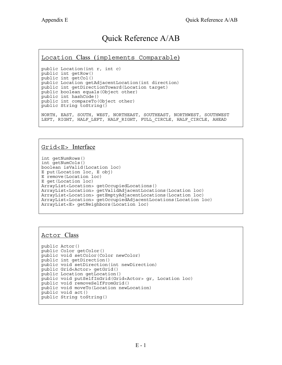### Quick Reference A/AB

#### Location Class (implements Comparable)

public Location(int r, int c) public int getRow() public int getCol() public Location getAdjacentLocation(int direction) public int getDirectionToward(Location target) public boolean equals(Object other) public int hashCode() public int compareTo(Object other) public String toString() NORTH, EAST, SOUTH, WEST, NORTHEAST, SOUTHEAST, NORTHWEST, SOUTHWEST LEFT, RIGHT, HALF LEFT, HALF RIGHT, FULL CIRCLE, HALF CIRCLE, AHEAD

#### Grid<E> Interface

```
int getNumRows() 
int getNumCols() 
boolean isValid(Location loc) 
E put(Location loc, E obj) 
E remove(Location loc) 
E get(Location loc) 
ArrayList<Location> getOccupiedLocations() 
ArrayList<Location> getValidAdjacentLocations(Location loc) 
ArrayList<Location> getEmptyAdjacentLocations(Location loc) 
ArrayList<Location> getOccupiedAdjacentLocations(Location loc) 
ArrayList<E> getNeighbors(Location loc)
```
### Actor Class

```
public Actor() 
public Color getColor() 
public void setColor(Color newColor)
public int getDirection() 
public void setDirection(int newDirection) 
public Grid<Actor> getGrid() 
public Location getLocation()
public void putSelfInGrid(Grid<Actor> gr, Location loc) 
public void removeSelfFromGrid() 
public void moveTo(Location newLocation) 
public void act() 
public String toString()
```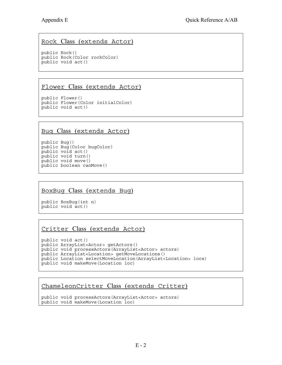### Rock Class (extends Actor)

public Rock() public Rock(Color rockColor) public void act()

### Flower Class (extends Actor)

public Flower() public Flower(Color initialColor) public void act()

### Bug Class (extends Actor)

public Bug() public Bug(Color bugColor) public void act() public void turn() public void move() public boolean canMove()

### BoxBug Class (extends Bug)

public BoxBug(int n) public void act()

### Critter Class (extends Actor)

public void act() public ArrayList<Actor> getActors() public void processActors(ArrayList<Actor> actors) public ArrayList<Location> getMoveLocations() public Location selectMoveLocation(ArrayList<Location> locs) public void makeMove(Location loc)

### ChameleonCritter Class (extends Critter)

```
public void processActors(ArrayList<Actor> actors) 
public void makeMove(Location loc)
```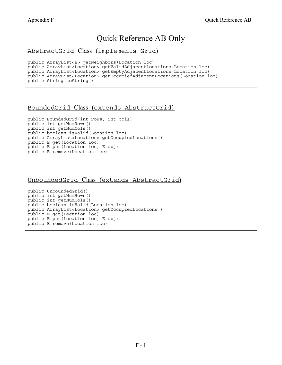### Quick Reference AB Only

AbstractGrid Class (implements Grid)

```
public ArrayList<E> getNeighbors(Location loc) 
public ArrayList<Location> getValidAdjacentLocations(Location loc) 
public ArrayList<Location> getEmptyAdjacentLocations(Location loc) 
public ArrayList<Location> getOccupiedAdjacentLocations(Location loc) 
public String toString()
```
#### BoundedGrid Class (extends AbstractGrid)

```
public BoundedGrid(int rows, int cols) 
public int getNumRows() 
public int getNumCols() 
public boolean isValid(Location loc) 
public ArrayList<Location> getOccupiedLocations() 
public E get(Location loc) 
public E put(Location loc, E obj) 
public E remove(Location loc)
```
#### UnboundedGrid Class (extends AbstractGrid)

public UnboundedGrid() public int getNumRows() public int getNumCols() public boolean isValid(Location loc) public ArrayList<Location> getOccupiedLocations() public E get(Location loc) public E put(Location loc, E obj) public E remove(Location loc)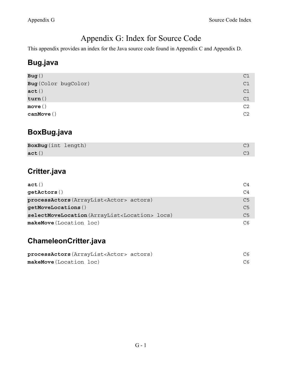### Appendix G: Index for Source Code

This appendix provides an index for the Java source code found in Appendix C and Appendix D.

### **Bug.java**

| Bug()                | C1             |
|----------------------|----------------|
| Bug (Color bugColor) | C1             |
| act()                | C1             |
| turn()               | C1             |
| move()               | C2             |
| $\texttt{canMove}()$ | C <sub>2</sub> |

### **BoxBug.java**

| BoxBug(int length) |  |
|--------------------|--|
| act()              |  |

### **Critter.java**

| act()                                                     | C4             |
|-----------------------------------------------------------|----------------|
| getactors()                                               | C4             |
| processActors (ArrayList <actor> actors)</actor>          | C5             |
| getMoveLocations()                                        | C5             |
| selectMoveLocation (ArrayList <location> locs)</location> | C <sub>5</sub> |
| makeMove(Location loc)                                    | C6             |

### **ChameleonCritter.java**

| processActors (ArrayList <actor> actors)</actor> |  |
|--------------------------------------------------|--|
| makeMove(Location loc)                           |  |